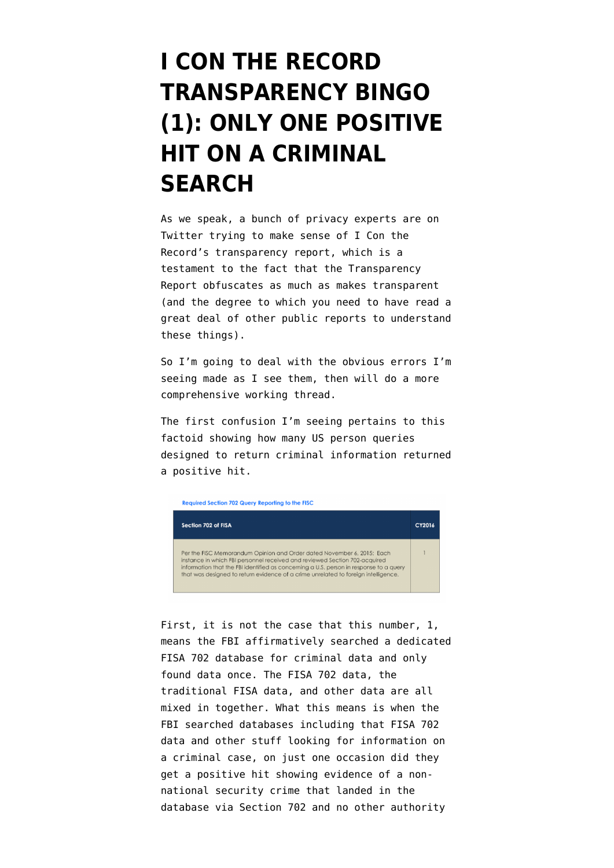## **[I CON THE RECORD](https://www.emptywheel.net/2017/05/02/i-con-the-record-transparency-bingo-1-only-one-positive-hit-on-a-criminal-search/) [TRANSPARENCY BINGO](https://www.emptywheel.net/2017/05/02/i-con-the-record-transparency-bingo-1-only-one-positive-hit-on-a-criminal-search/) [\(1\): ONLY ONE POSITIVE](https://www.emptywheel.net/2017/05/02/i-con-the-record-transparency-bingo-1-only-one-positive-hit-on-a-criminal-search/) [HIT ON A CRIMINAL](https://www.emptywheel.net/2017/05/02/i-con-the-record-transparency-bingo-1-only-one-positive-hit-on-a-criminal-search/) [SEARCH](https://www.emptywheel.net/2017/05/02/i-con-the-record-transparency-bingo-1-only-one-positive-hit-on-a-criminal-search/)**

As we speak, a bunch of privacy experts are on Twitter trying to make sense of [I Con the](https://icontherecord.tumblr.com/transparency/odni_transparencyreport_cy2016) [Record's transparency report](https://icontherecord.tumblr.com/transparency/odni_transparencyreport_cy2016), which is a testament to the fact that the Transparency Report obfuscates as much as makes transparent (and the degree to which you need to have read a great deal of other public reports to understand these things).

So I'm going to deal with the obvious errors I'm seeing made as I see them, then will do a more comprehensive working thread.

The first confusion I'm seeing pertains to this factoid showing how many US person queries designed to return criminal information returned a positive hit.





First, it is not the case that this number, 1, means the FBI affirmatively searched a dedicated FISA 702 database for criminal data and only found data once. The FISA 702 data, the traditional FISA data, and other data are all mixed in together. What this means is when the FBI searched databases including that FISA 702 data and other stuff looking for information on a criminal case, on just one occasion did they get a positive hit showing evidence of a nonnational security crime that landed in the database via Section 702 and no other authority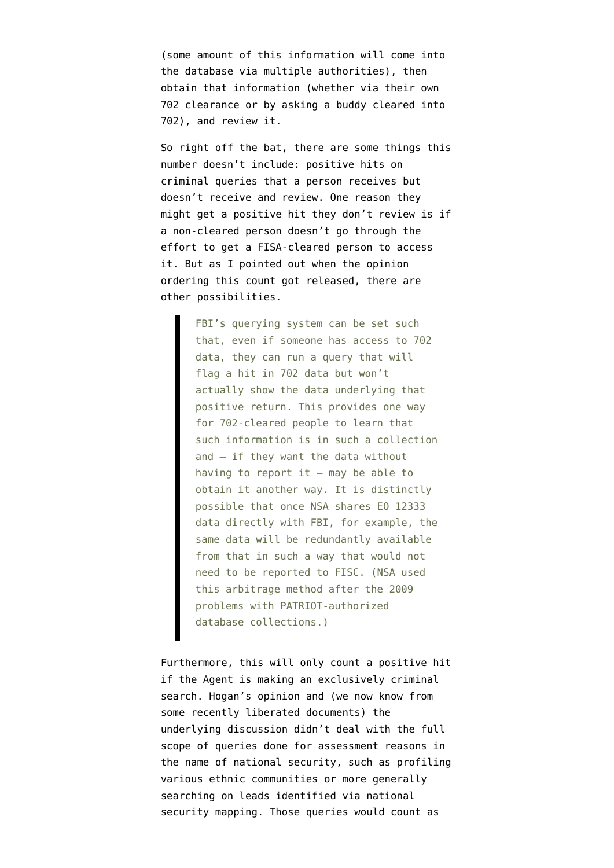(some amount of this information will come into the database via multiple authorities), then obtain that information (whether via their own 702 clearance or by asking a buddy cleared into 702), and review it.

So right off the bat, there are some things this number doesn't include: positive hits on criminal queries that a person receives but doesn't receive and review. One reason they might get a positive hit they don't review is if a non-cleared person doesn't go through the effort to get a FISA-cleared person to access it. But as I [pointed out](https://www.emptywheel.net/2016/04/22/former-top-holder-aide-says-back-door-searches-violate-fourth-amendment-fisc-judge-thomas-hogan-doesnt-care/) when the opinion ordering this count got released, there are other possibilities.

> FBI's querying system can be set such that, even if someone has access to 702 data, they can run a query that will flag a hit in 702 data but won't actually show the data underlying that positive return. This provides one way for 702-cleared people to learn that such information is in such a collection and — if they want the data without having to report it  $-$  may be able to obtain it another way. It is distinctly possible that once NSA shares EO 12333 data directly with FBI, for example, the same data will be redundantly available from that in such a way that would not need to be reported to FISC. (NSA used this arbitrage method after the 2009 problems with PATRIOT-authorized database collections.)

Furthermore, this will only count a positive hit if the Agent is making an exclusively criminal search. Hogan's opinion and (we now know from some recently liberated documents) the underlying discussion didn't deal with the full scope of queries done for assessment reasons in the name of national security, such as profiling various ethnic communities or more generally searching on leads identified via national security mapping. Those queries would count as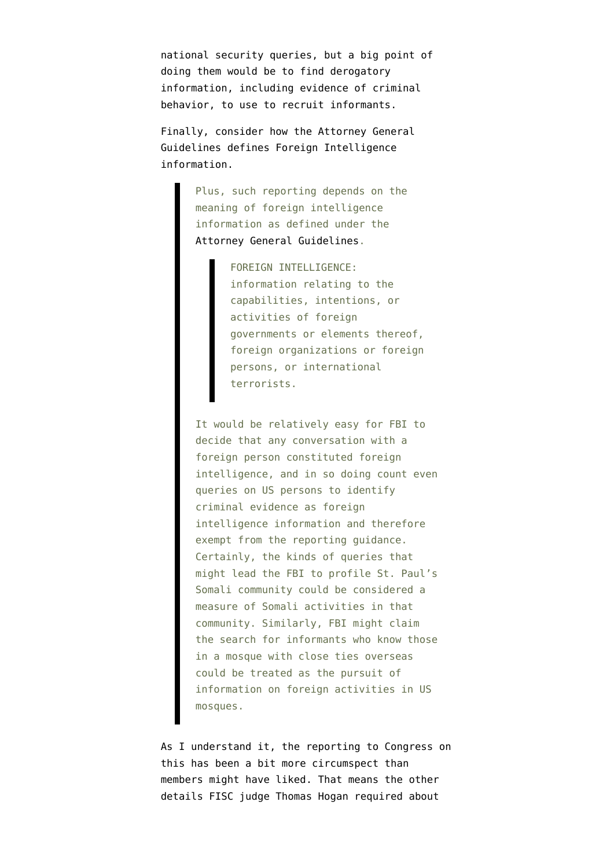national security queries, but a big point of doing them would be to find derogatory information, including evidence of criminal behavior, to use to recruit informants.

Finally, consider how the Attorney General Guidelines defines Foreign Intelligence information.

> Plus, such reporting depends on the meaning of foreign intelligence information as defined under the [Attorney General Guidelines](https://www.justice.gov/archive/opa/docs/guidelines.pdf).

> > FOREIGN INTELLIGENCE: information relating to the capabilities, intentions, or activities of foreign governments or elements thereof, foreign organizations or foreign persons, or international terrorists.

It would be relatively easy for FBI to decide that any conversation with a foreign person constituted foreign intelligence, and in so doing count even queries on US persons to identify criminal evidence as foreign intelligence information and therefore exempt from the reporting guidance. Certainly, the kinds of queries that might lead the FBI to profile St. Paul's Somali community could be considered a measure of Somali activities in that community. Similarly, FBI might claim the search for informants who know those in a mosque with close ties overseas could be treated as the pursuit of information on foreign activities in US mosques.

As I understand it, the reporting to Congress on this has been a bit more circumspect than members might have liked. That means the other details FISC judge Thomas Hogan [required](https://www.emptywheel.net/wp-content/uploads/2016/04/151106-702-Reauthorization.pdf) about